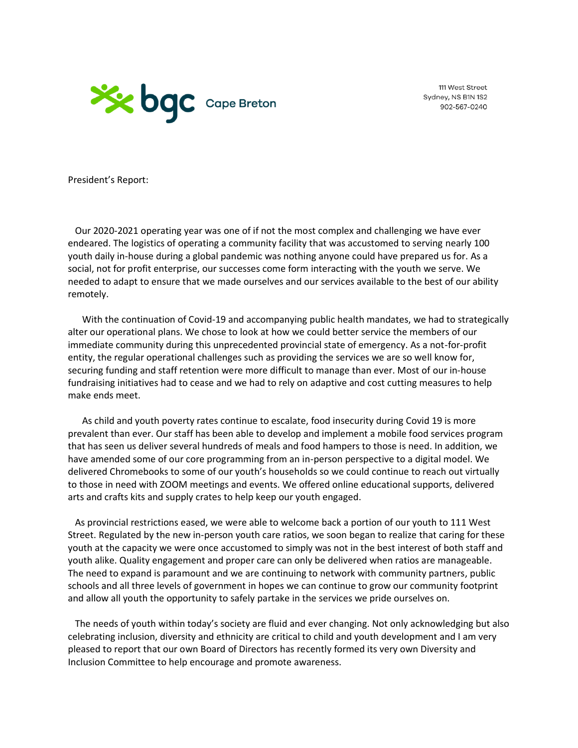

111 West Street Sydney, NS B1N 1S2 902-567-0240

President's Report:

 Our 2020-2021 operating year was one of if not the most complex and challenging we have ever endeared. The logistics of operating a community facility that was accustomed to serving nearly 100 youth daily in-house during a global pandemic was nothing anyone could have prepared us for. As a social, not for profit enterprise, our successes come form interacting with the youth we serve. We needed to adapt to ensure that we made ourselves and our services available to the best of our ability remotely.

 With the continuation of Covid-19 and accompanying public health mandates, we had to strategically alter our operational plans. We chose to look at how we could better service the members of our immediate community during this unprecedented provincial state of emergency. As a not-for-profit entity, the regular operational challenges such as providing the services we are so well know for, securing funding and staff retention were more difficult to manage than ever. Most of our in-house fundraising initiatives had to cease and we had to rely on adaptive and cost cutting measures to help make ends meet.

 As child and youth poverty rates continue to escalate, food insecurity during Covid 19 is more prevalent than ever. Our staff has been able to develop and implement a mobile food services program that has seen us deliver several hundreds of meals and food hampers to those is need. In addition, we have amended some of our core programming from an in-person perspective to a digital model. We delivered Chromebooks to some of our youth's households so we could continue to reach out virtually to those in need with ZOOM meetings and events. We offered online educational supports, delivered arts and crafts kits and supply crates to help keep our youth engaged.

 As provincial restrictions eased, we were able to welcome back a portion of our youth to 111 West Street. Regulated by the new in-person youth care ratios, we soon began to realize that caring for these youth at the capacity we were once accustomed to simply was not in the best interest of both staff and youth alike. Quality engagement and proper care can only be delivered when ratios are manageable. The need to expand is paramount and we are continuing to network with community partners, public schools and all three levels of government in hopes we can continue to grow our community footprint and allow all youth the opportunity to safely partake in the services we pride ourselves on.

 The needs of youth within today's society are fluid and ever changing. Not only acknowledging but also celebrating inclusion, diversity and ethnicity are critical to child and youth development and I am very pleased to report that our own Board of Directors has recently formed its very own Diversity and Inclusion Committee to help encourage and promote awareness.